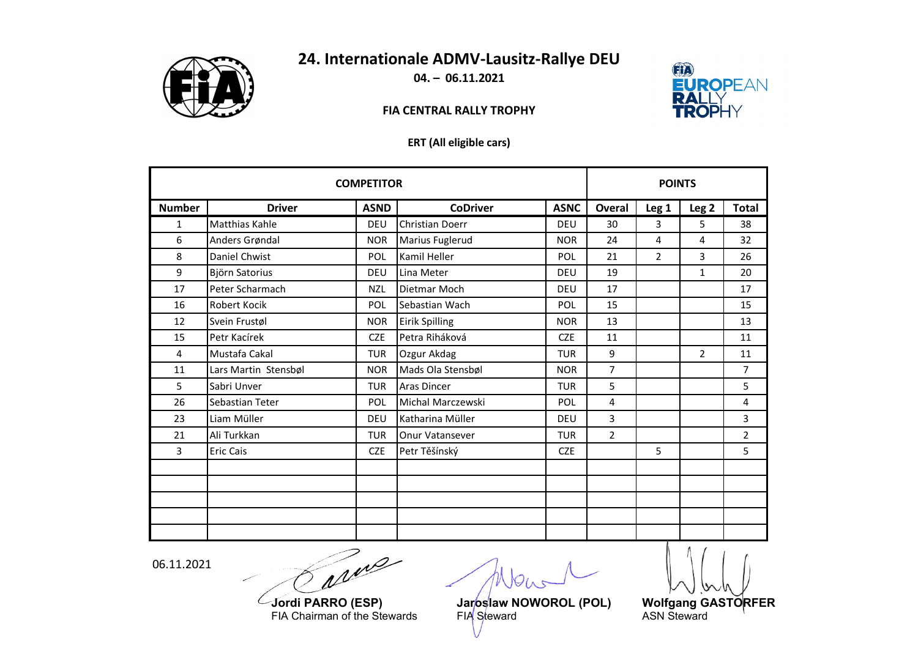

# **24. Internationale ADMV‐Lausitz‐Rallye DEU**

**04. – 06.11.2021**

### **FIA CENTRAL RALLY TROPHY**



#### **ERT (All eligible cars)**

| <b>COMPETITOR</b> |                       |             |                    | <b>POINTS</b> |                |                |                  |                |
|-------------------|-----------------------|-------------|--------------------|---------------|----------------|----------------|------------------|----------------|
| <b>Number</b>     | <b>Driver</b>         | <b>ASND</b> | <b>CoDriver</b>    | <b>ASNC</b>   | Overal         | Leg 1          | Leg <sub>2</sub> | <b>Total</b>   |
| $\mathbf{1}$      | <b>Matthias Kahle</b> | DEU         | Christian Doerr    | DEU           | 30             | 3              | 5                | 38             |
| 6                 | Anders Grøndal        | <b>NOR</b>  | Marius Fuglerud    | <b>NOR</b>    | 24             | 4              | 4                | 32             |
| 8                 | Daniel Chwist         | POL         | Kamil Heller       | POL           | 21             | $\overline{2}$ | $\overline{3}$   | 26             |
| 9                 | Björn Satorius        | <b>DEU</b>  | Lina Meter         | DEU           | 19             |                | $\mathbf{1}$     | 20             |
| 17                | Peter Scharmach       | <b>NZL</b>  | Dietmar Moch       | DEU           | 17             |                |                  | 17             |
| 16                | Robert Kocik          | POL         | Sebastian Wach     | POL           | 15             |                |                  | 15             |
| 12                | Svein Frustøl         | <b>NOR</b>  | Eirik Spilling     | <b>NOR</b>    | 13             |                |                  | 13             |
| 15                | Petr Kacírek          | <b>CZE</b>  | Petra Riháková     | <b>CZE</b>    | 11             |                |                  | 11             |
| $\overline{4}$    | Mustafa Cakal         | <b>TUR</b>  | Ozgur Akdag        | <b>TUR</b>    | 9              |                | $\overline{2}$   | 11             |
| 11                | Lars Martin Stensbøl  | <b>NOR</b>  | Mads Ola Stensbøl  | <b>NOR</b>    | $\overline{7}$ |                |                  | $\overline{7}$ |
| 5                 | Sabri Unver           | <b>TUR</b>  | <b>Aras Dincer</b> | <b>TUR</b>    | 5              |                |                  | 5              |
| 26                | Sebastian Teter       | <b>POL</b>  | Michal Marczewski  | POL           | 4              |                |                  | 4              |
| 23                | Liam Müller           | DEU         | Katharina Müller   | DEU           | 3              |                |                  | 3              |
| 21                | Ali Turkkan           | <b>TUR</b>  | Onur Vatansever    | <b>TUR</b>    | $\overline{2}$ |                |                  | $\overline{2}$ |
| 3                 | <b>Eric Cais</b>      | <b>CZE</b>  | Petr Těšínský      | <b>CZE</b>    |                | 5              |                  | 5              |
|                   |                       |             |                    |               |                |                |                  |                |
|                   |                       |             |                    |               |                |                |                  |                |
|                   |                       |             |                    |               |                |                |                  |                |
|                   |                       |             |                    |               |                |                |                  |                |
|                   |                       |             |                    |               |                |                |                  |                |

06.11.2021

arme

**Jordi PARRO**FIA Chairman of the Stewards FIA Steward ASN Steward

**(EXP) Wolfgang GASTORFER**<br>FIA Steward **ASN Steward**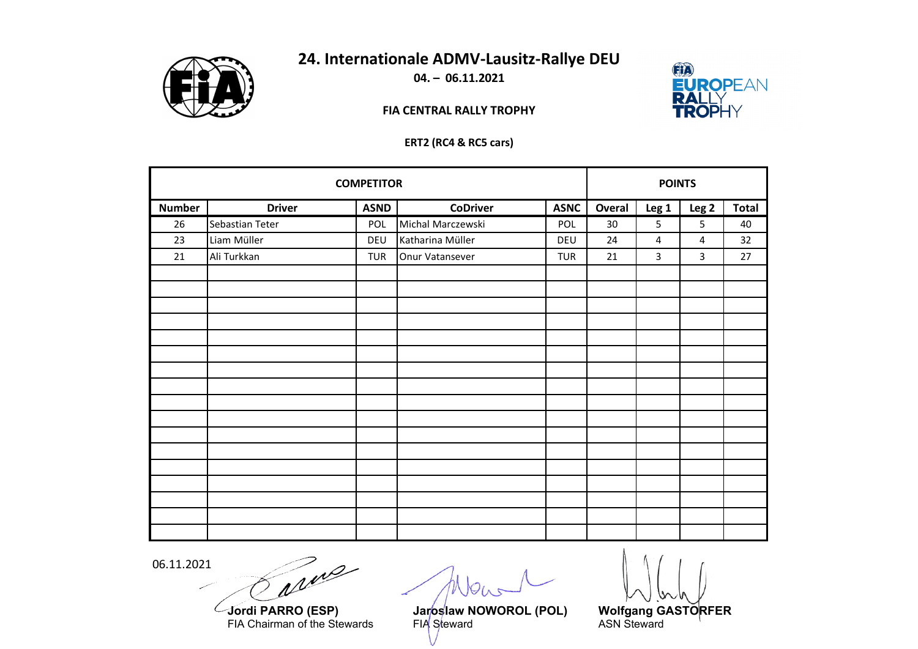

# **24. Internationale ADMV‐Lausitz‐Rallye DEU**

**04. – 06.11.2021**

### **FIA CENTRAL RALLY TROPHY**



#### **ERT2 (RC4 & RC5 cars)**

| <b>COMPETITOR</b> |                 |             |                   | <b>POINTS</b> |        |                  |                  |              |
|-------------------|-----------------|-------------|-------------------|---------------|--------|------------------|------------------|--------------|
| <b>Number</b>     | <b>Driver</b>   | <b>ASND</b> | <b>CoDriver</b>   | <b>ASNC</b>   | Overal | Leg <sub>1</sub> | Leg <sub>2</sub> | <b>Total</b> |
| 26                | Sebastian Teter | POL         | Michal Marczewski | POL           | 30     | 5                | 5                | 40           |
| 23                | Liam Müller     | DEU         | Katharina Müller  | DEU           | 24     | $\overline{4}$   | $\overline{4}$   | 32           |
| 21                | Ali Turkkan     | <b>TUR</b>  | Onur Vatansever   | <b>TUR</b>    | 21     | 3                | 3                | 27           |
|                   |                 |             |                   |               |        |                  |                  |              |
|                   |                 |             |                   |               |        |                  |                  |              |
|                   |                 |             |                   |               |        |                  |                  |              |
|                   |                 |             |                   |               |        |                  |                  |              |
|                   |                 |             |                   |               |        |                  |                  |              |
|                   |                 |             |                   |               |        |                  |                  |              |
|                   |                 |             |                   |               |        |                  |                  |              |
|                   |                 |             |                   |               |        |                  |                  |              |
|                   |                 |             |                   |               |        |                  |                  |              |
|                   |                 |             |                   |               |        |                  |                  |              |
|                   |                 |             |                   |               |        |                  |                  |              |
|                   |                 |             |                   |               |        |                  |                  |              |
|                   |                 |             |                   |               |        |                  |                  |              |
|                   |                 |             |                   |               |        |                  |                  |              |
|                   |                 |             |                   |               |        |                  |                  |              |
|                   |                 |             |                   |               |        |                  |                  |              |
|                   |                 |             |                   |               |        |                  |                  |              |

06.11.2021

L

Trip سير

**Jordi PARRO**FIA Chairman of the Stewards FIA Steward ASN Steward

**(EXP) Wolfgang GASTORFER**<br>FIA Steward **ASN Steward**